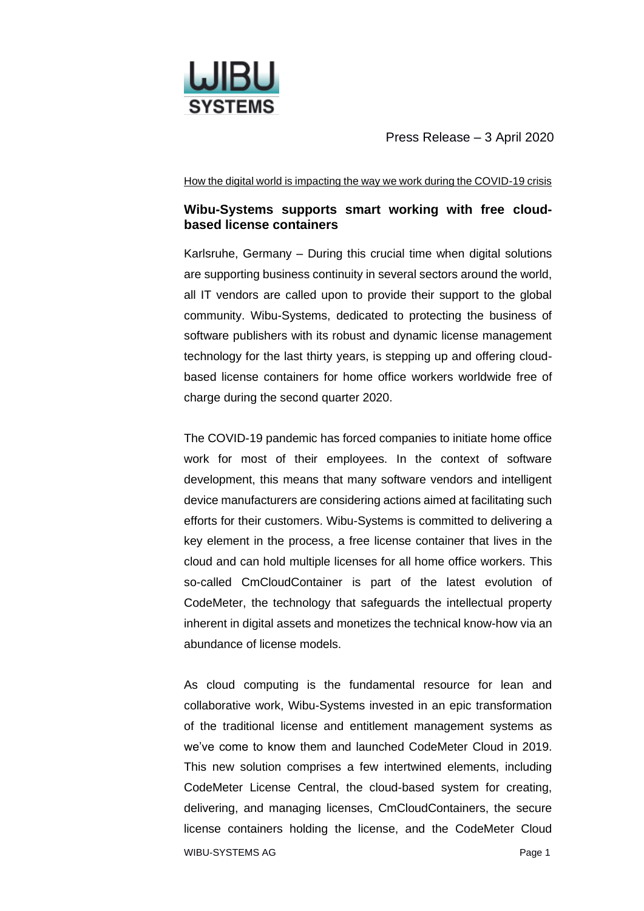

Press Release – 3 April 2020

How the digital world is impacting the way we work during the COVID-19 crisis

## **Wibu-Systems supports smart working with free cloudbased license containers**

Karlsruhe, Germany – During this crucial time when digital solutions are supporting business continuity in several sectors around the world, all IT vendors are called upon to provide their support to the global community. Wibu-Systems, dedicated to protecting the business of software publishers with its robust and dynamic license management technology for the last thirty years, is stepping up and offering cloudbased license containers for home office workers worldwide free of charge during the second quarter 2020.

The COVID-19 pandemic has forced companies to initiate home office work for most of their employees. In the context of software development, this means that many software vendors and intelligent device manufacturers are considering actions aimed at facilitating such efforts for their customers. Wibu-Systems is committed to delivering a key element in the process, a free license container that lives in the cloud and can hold multiple licenses for all home office workers. This so-called CmCloudContainer is part of the latest evolution of CodeMeter, the technology that safeguards the intellectual property inherent in digital assets and monetizes the technical know-how via an abundance of license models.

WIBU-SYSTEMS AG Page 1 As cloud computing is the fundamental resource for lean and collaborative work, Wibu-Systems invested in an epic transformation of the traditional license and entitlement management systems as we've come to know them and launched CodeMeter Cloud in 2019. This new solution comprises a few intertwined elements, including CodeMeter License Central, the cloud-based system for creating, delivering, and managing licenses, CmCloudContainers, the secure license containers holding the license, and the CodeMeter Cloud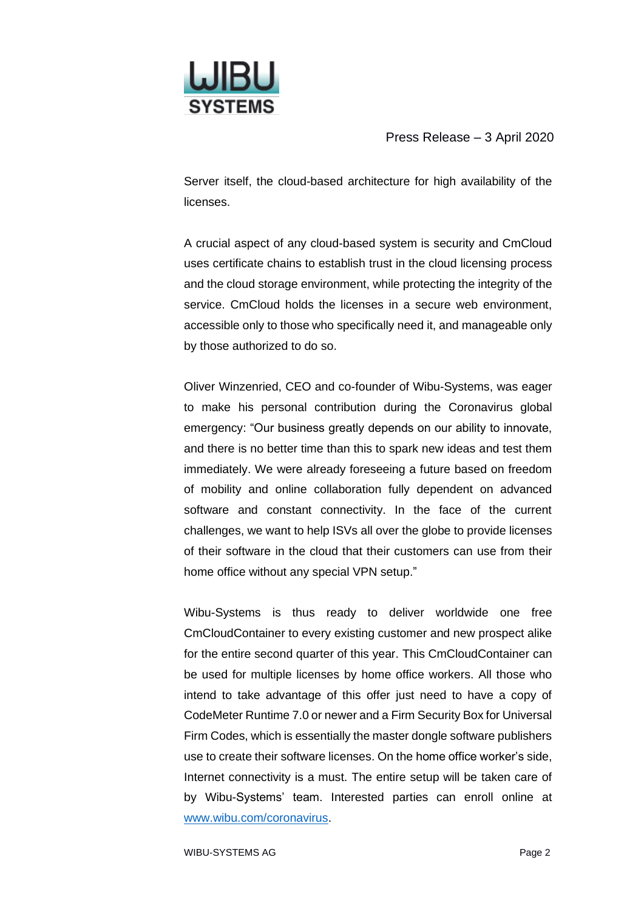

Press Release – 3 April 2020

Server itself, the cloud-based architecture for high availability of the licenses.

A crucial aspect of any cloud-based system is security and CmCloud uses certificate chains to establish trust in the cloud licensing process and the cloud storage environment, while protecting the integrity of the service. CmCloud holds the licenses in a secure web environment, accessible only to those who specifically need it, and manageable only by those authorized to do so.

Oliver Winzenried, CEO and co-founder of Wibu-Systems, was eager to make his personal contribution during the Coronavirus global emergency: "Our business greatly depends on our ability to innovate, and there is no better time than this to spark new ideas and test them immediately. We were already foreseeing a future based on freedom of mobility and online collaboration fully dependent on advanced software and constant connectivity. In the face of the current challenges, we want to help ISVs all over the globe to provide licenses of their software in the cloud that their customers can use from their home office without any special VPN setup."

Wibu-Systems is thus ready to deliver worldwide one free CmCloudContainer to every existing customer and new prospect alike for the entire second quarter of this year. This CmCloudContainer can be used for multiple licenses by home office workers. All those who intend to take advantage of this offer just need to have a copy of CodeMeter Runtime 7.0 or newer and a Firm Security Box for Universal Firm Codes, which is essentially the master dongle software publishers use to create their software licenses. On the home office worker's side, Internet connectivity is a must. The entire setup will be taken care of by Wibu-Systems' team. Interested parties can enroll online at [www.wibu.com/coronavirus.](https://www.wibu.com/coronavirus)